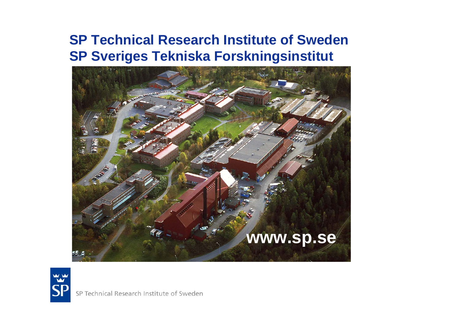#### **SP Technical Research Institute of Sweden SP Sveriges Tekniska Forskningsinstitut**





SP Technical Research Institute of Sweden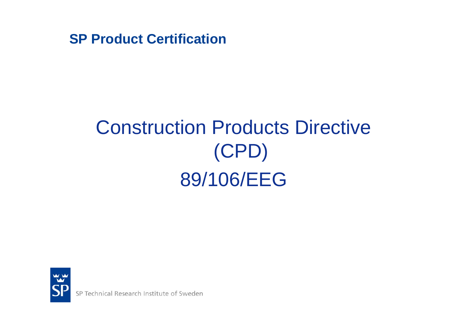# Construction Products Directive (CPD) 89/106/EEG



SP Technical Research Institute of Sweden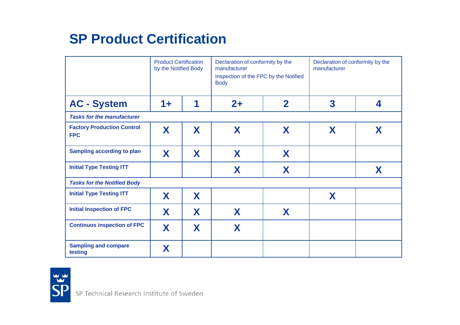|                                                 | <b>Product Certification</b><br>by the Notified Body |   | Declaration of conformity by the<br>manufacturer<br>Inspection of the FPC by the Notified<br><b>Body</b> |                         | Declaration of conformity by the<br>manufacturer |   |
|-------------------------------------------------|------------------------------------------------------|---|----------------------------------------------------------------------------------------------------------|-------------------------|--------------------------------------------------|---|
| <b>AC - System</b>                              | $1 +$                                                | 1 | $2+$                                                                                                     | $\overline{\mathbf{2}}$ | 3                                                | 4 |
| <b>Tasks for the manufacturer</b>               |                                                      |   |                                                                                                          |                         |                                                  |   |
| <b>Factory Production Control</b><br><b>FPC</b> | X                                                    | X | X                                                                                                        | X                       | X                                                | X |
| <b>Sampling according to plan</b>               | X                                                    | X | X                                                                                                        | X                       |                                                  |   |
| <b>Initial Type Testing ITT</b>                 |                                                      |   | X                                                                                                        | X                       |                                                  | X |
| <b>Tasks for the Notified Body</b>              |                                                      |   |                                                                                                          |                         |                                                  |   |
| <b>Initial Type Testing ITT</b>                 | X                                                    | X |                                                                                                          |                         | X                                                |   |
| <b>Initial Inspection of FPC</b>                | X                                                    | X | X                                                                                                        | X                       |                                                  |   |
| <b>Continuos inspection of FPC</b>              | X                                                    | X | X                                                                                                        |                         |                                                  |   |
| <b>Sampling and compare</b><br>testing          | Χ                                                    |   |                                                                                                          |                         |                                                  |   |

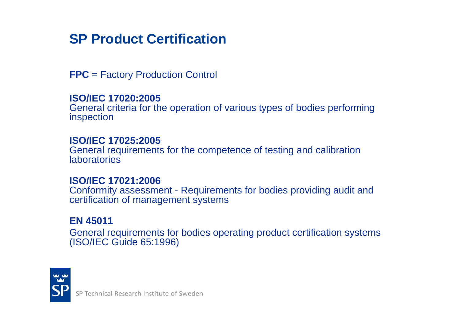**FPC** = Factory Production Control

#### **ISO/IEC 17020:2005**

General criteria for the operation of various types of bodies performing inspection

#### **ISO/IEC 17025:2005**

General requirements for the competence of testing and calibration laboratories

#### **ISO/IEC 17021:2006**

Conformity assessment - Requirements for bodies providing audit and certification of management systems

#### **EN 45011**

General requirements for bodies operating product certification systems (ISO/IEC Guide 65:1996)

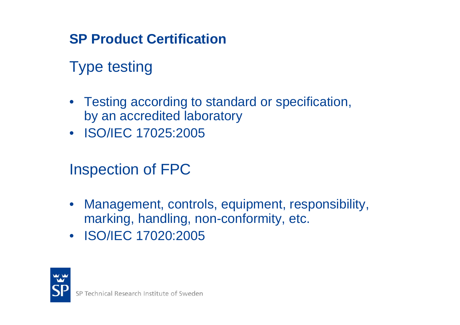# Type testing

- Testing according to standard or specification, by an accredited laboratory
- ISO/IEC 17025:2005

# Inspection of FPC

- $\bullet$  Management, controls, equipment, responsibility, marking, handling, non-conformity, etc.
- ISO/IEC 17020:2005

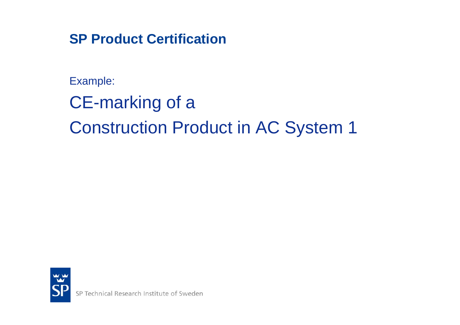Example:

CE-marking of a

Construction Product in AC System 1

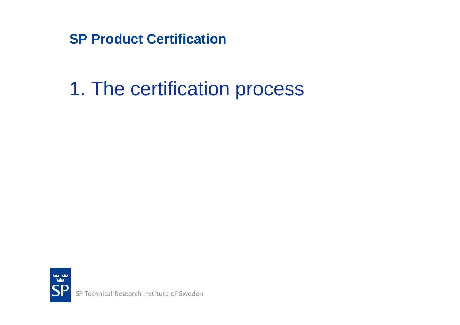# 1. The certification process

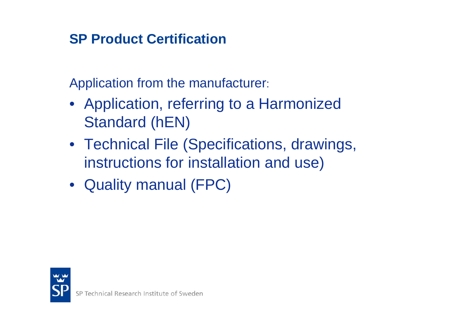Application from the manufacturer:

- Application, referring to a Harmonized Standard (hEN)
- Technical File (Specifications, drawings, instructions for installation and use)
- Quality manual (FPC)

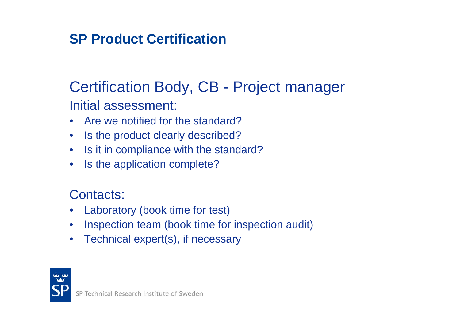## Certification Body, CB - Project manager Initial assessment:

- Are we notified for the standard?
- $\bullet$ Is the product clearly described?
- Is it in compliance with the standard?
- $\bullet$ Is the application complete?

#### Contacts:

- $\bullet$ Laboratory (book time for test)
- $\bullet$ Inspection team (book time for inspection audit)
- $\bullet$ Technical expert(s), if necessary

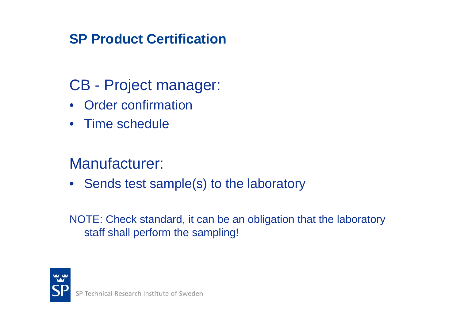# CB - Project manager:

- Order confirmation
- Time schedule

# Manufacturer:

• Sends test sample(s) to the laboratory

NOTE: Check standard, it can be an obligation that the laboratory staff shall perform the sampling!

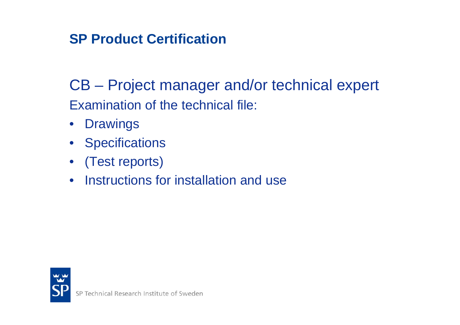CB – Project manager and/or technical expert Examination of the technical file:

- $\bullet$ **Drawings**
- Specifications
- (Test reports)
- Instructions for installation and use

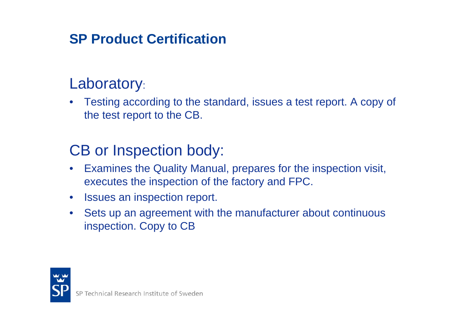# Laboratory:

 $\bullet$  Testing according to the standard, issues a test report. A copy of the test report to the CB.

# CB or Inspection body:

- $\bullet$  Examines the Quality Manual, prepares for the inspection visit, executes the inspection of the factory and FPC.
- $\bullet$ Issues an inspection report.
- • Sets up an agreement with the manufacturer about continuous inspection. Copy to CB

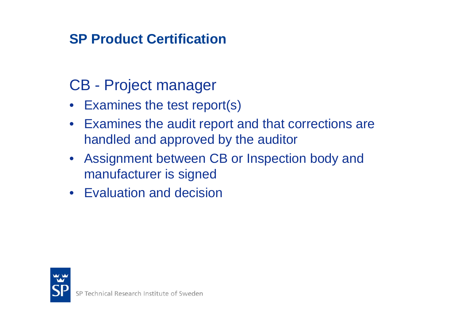# CB - Project manager

- Examines the test report(s)
- Examines the audit report and that corrections are handled and approved by the auditor
- Assignment between CB or Inspection body and manufacturer is signed
- Evaluation and decision

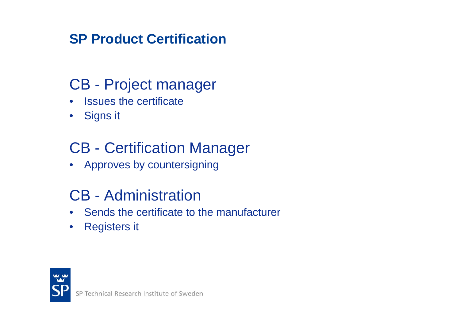# CB - Project manager

- $\bullet$ **Issues the certificate**
- Signs it

# CB - Certification Manager

• Approves by countersigning

# CB - Administration

- Sends the certificate to the manufacturer
- Registers it

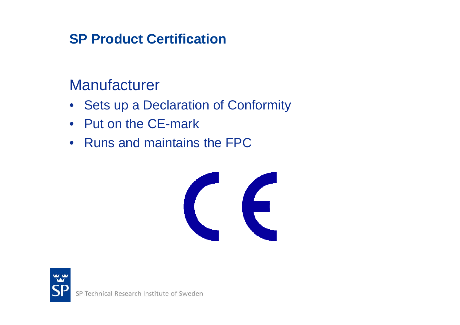## **Manufacturer**

- Sets up a Declaration of Conformity
- Put on the CE-mark
- Runs and maintains the FPC



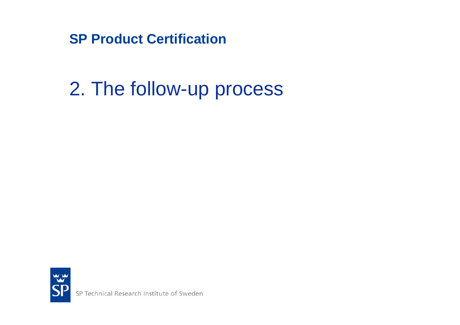# 2. The follow-up process

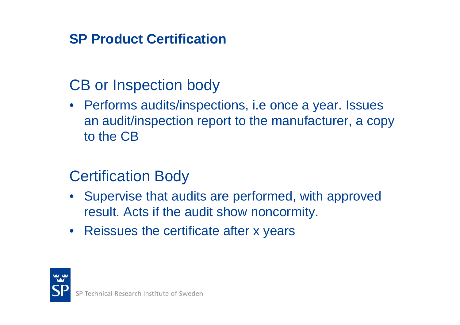# CB or Inspection body

• Performs audits/inspections, i.e once a year. Issues an audit/inspection report to the manufacturer, a copy to the CB

## Certification Body

- Supervise that audits are performed, with approved result. Acts if the audit show noncormity.
- Reissues the certificate after x years

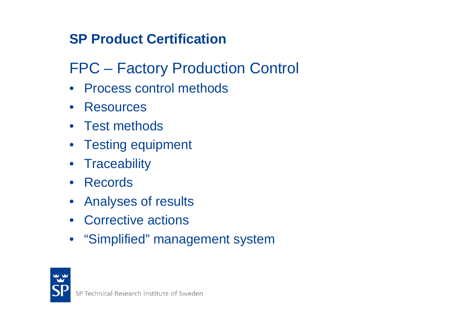# FPC – Factory Production Control

- Process control methods
- Resources
- Test methods
- Testing equipment
- Traceability
- Records
- Analyses of results
- Corrective actions
- "Simplified" management system